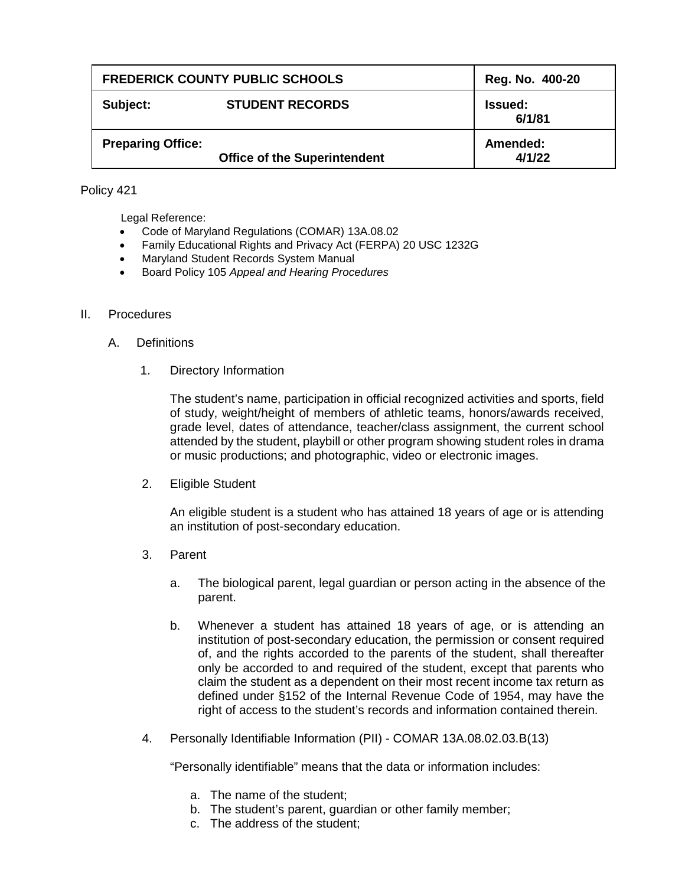| <b>FREDERICK COUNTY PUBLIC SCHOOLS</b> |                                     | Reg. No. 400-20          |
|----------------------------------------|-------------------------------------|--------------------------|
| Subject:                               | <b>STUDENT RECORDS</b>              | <b>Issued:</b><br>6/1/81 |
| <b>Preparing Office:</b>               | <b>Office of the Superintendent</b> | Amended:<br>4/1/22       |

## Policy 421

Legal Reference:

- Code of Maryland Regulations (COMAR) 13A.08.02
- Family Educational Rights and Privacy Act (FERPA) 20 USC 1232G
- Maryland Student Records System Manual
- Board Policy 105 *Appeal and Hearing Procedures*

## II. Procedures

- A. Definitions
	- 1. Directory Information

The student's name, participation in official recognized activities and sports, field of study, weight/height of members of athletic teams, honors/awards received, grade level, dates of attendance, teacher/class assignment, the current school attended by the student, playbill or other program showing student roles in drama or music productions; and photographic, video or electronic images.

2. Eligible Student

An eligible student is a student who has attained 18 years of age or is attending an institution of post-secondary education.

- 3. Parent
	- a. The biological parent, legal guardian or person acting in the absence of the parent.
	- b. Whenever a student has attained 18 years of age, or is attending an institution of post-secondary education, the permission or consent required of, and the rights accorded to the parents of the student, shall thereafter only be accorded to and required of the student, except that parents who claim the student as a dependent on their most recent income tax return as defined under §152 of the Internal Revenue Code of 1954, may have the right of access to the student's records and information contained therein.
- 4. Personally Identifiable Information (PII) COMAR 13A.08.02.03.B(13)

"Personally identifiable" means that the data or information includes:

- a. The name of the student;
- b. The student's parent, guardian or other family member;
- c. The address of the student;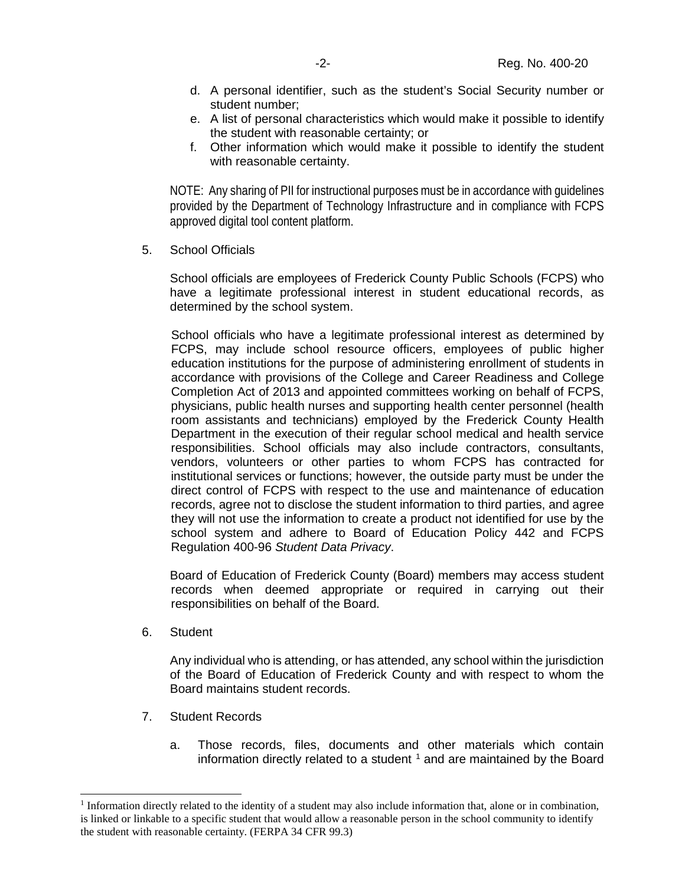- d. A personal identifier, such as the student's Social Security number or student number;
- e. A list of personal characteristics which would make it possible to identify the student with reasonable certainty; or
- f. Other information which would make it possible to identify the student with reasonable certainty.

NOTE: Any sharing of PII for instructional purposes must be in accordance with guidelines provided by the Department of Technology Infrastructure and in compliance with FCPS approved digital tool content platform.

5. School Officials

School officials are employees of Frederick County Public Schools (FCPS) who have a legitimate professional interest in student educational records, as determined by the school system.

School officials who have a legitimate professional interest as determined by FCPS, may include school resource officers, employees of public higher education institutions for the purpose of administering enrollment of students in accordance with provisions of the College and Career Readiness and College Completion Act of 2013 and appointed committees working on behalf of FCPS, physicians, public health nurses and supporting health center personnel (health room assistants and technicians) employed by the Frederick County Health Department in the execution of their regular school medical and health service responsibilities. School officials may also include contractors, consultants, vendors, volunteers or other parties to whom FCPS has contracted for institutional services or functions; however, the outside party must be under the direct control of FCPS with respect to the use and maintenance of education records, agree not to disclose the student information to third parties, and agree they will not use the information to create a product not identified for use by the school system and adhere to Board of Education Policy 442 and FCPS Regulation 400-96 *Student Data Privacy*.

Board of Education of Frederick County (Board) members may access student records when deemed appropriate or required in carrying out their responsibilities on behalf of the Board.

6. Student

Any individual who is attending, or has attended, any school within the jurisdiction of the Board of Education of Frederick County and with respect to whom the Board maintains student records.

- 7. Student Records
	- a. Those records, files, documents and other materials which contain information directly related to a student  $<sup>1</sup>$  $<sup>1</sup>$  $<sup>1</sup>$  and are maintained by the Board</sup>

<span id="page-1-0"></span> <sup>1</sup> Information directly related to the identity of a student may also include information that, alone or in combination, is linked or linkable to a specific student that would allow a reasonable person in the school community to identify the student with reasonable certainty. (FERPA 34 CFR 99.3)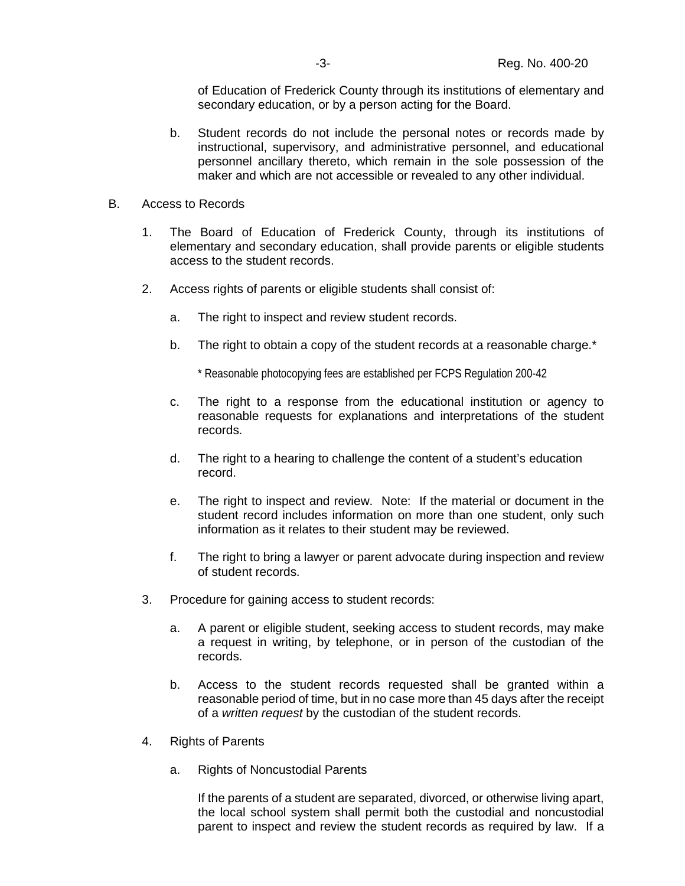of Education of Frederick County through its institutions of elementary and secondary education, or by a person acting for the Board.

- b. Student records do not include the personal notes or records made by instructional, supervisory, and administrative personnel, and educational personnel ancillary thereto, which remain in the sole possession of the maker and which are not accessible or revealed to any other individual.
- B. Access to Records
	- 1. The Board of Education of Frederick County, through its institutions of elementary and secondary education, shall provide parents or eligible students access to the student records.
	- 2. Access rights of parents or eligible students shall consist of:
		- a. The right to inspect and review student records.
		- b. The right to obtain a copy of the student records at a reasonable charge.\*

\* Reasonable photocopying fees are established per FCPS Regulation 200-42

- c. The right to a response from the educational institution or agency to reasonable requests for explanations and interpretations of the student records.
- d. The right to a hearing to challenge the content of a student's education record.
- e. The right to inspect and review. Note: If the material or document in the student record includes information on more than one student, only such information as it relates to their student may be reviewed.
- f. The right to bring a lawyer or parent advocate during inspection and review of student records.
- 3. Procedure for gaining access to student records:
	- a. A parent or eligible student, seeking access to student records, may make a request in writing, by telephone, or in person of the custodian of the records.
	- b. Access to the student records requested shall be granted within a reasonable period of time, but in no case more than 45 days after the receipt of a *written request* by the custodian of the student records.
- 4. Rights of Parents
	- a. Rights of Noncustodial Parents

If the parents of a student are separated, divorced, or otherwise living apart, the local school system shall permit both the custodial and noncustodial parent to inspect and review the student records as required by law. If a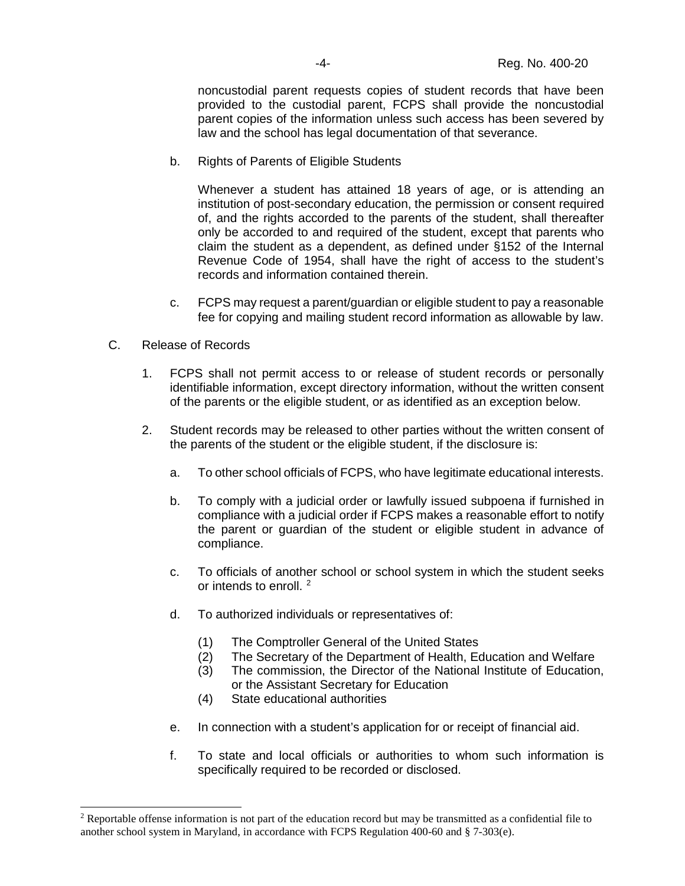noncustodial parent requests copies of student records that have been provided to the custodial parent, FCPS shall provide the noncustodial parent copies of the information unless such access has been severed by law and the school has legal documentation of that severance.

b. Rights of Parents of Eligible Students

Whenever a student has attained 18 years of age, or is attending an institution of post-secondary education, the permission or consent required of, and the rights accorded to the parents of the student, shall thereafter only be accorded to and required of the student, except that parents who claim the student as a dependent, as defined under §152 of the Internal Revenue Code of 1954, shall have the right of access to the student's records and information contained therein.

- c. FCPS may request a parent/guardian or eligible student to pay a reasonable fee for copying and mailing student record information as allowable by law.
- C. Release of Records
	- 1. FCPS shall not permit access to or release of student records or personally identifiable information, except directory information, without the written consent of the parents or the eligible student, or as identified as an exception below.
	- 2. Student records may be released to other parties without the written consent of the parents of the student or the eligible student, if the disclosure is:
		- a. To other school officials of FCPS, who have legitimate educational interests.
		- b. To comply with a judicial order or lawfully issued subpoena if furnished in compliance with a judicial order if FCPS makes a reasonable effort to notify the parent or guardian of the student or eligible student in advance of compliance.
		- c. To officials of another school or school system in which the student seeks or intends to enroll. [2](#page-3-0)
		- d. To authorized individuals or representatives of:
			- (1) The Comptroller General of the United States
			- (2) The Secretary of the Department of Health, Education and Welfare
			- (3) The commission, the Director of the National Institute of Education, or the Assistant Secretary for Education
			- (4) State educational authorities
		- e. In connection with a student's application for or receipt of financial aid.
		- f. To state and local officials or authorities to whom such information is specifically required to be recorded or disclosed.

<span id="page-3-0"></span> <sup>2</sup> Reportable offense information is not part of the education record but may be transmitted as a confidential file to another school system in Maryland, in accordance with FCPS Regulation 400-60 and § 7-303(e).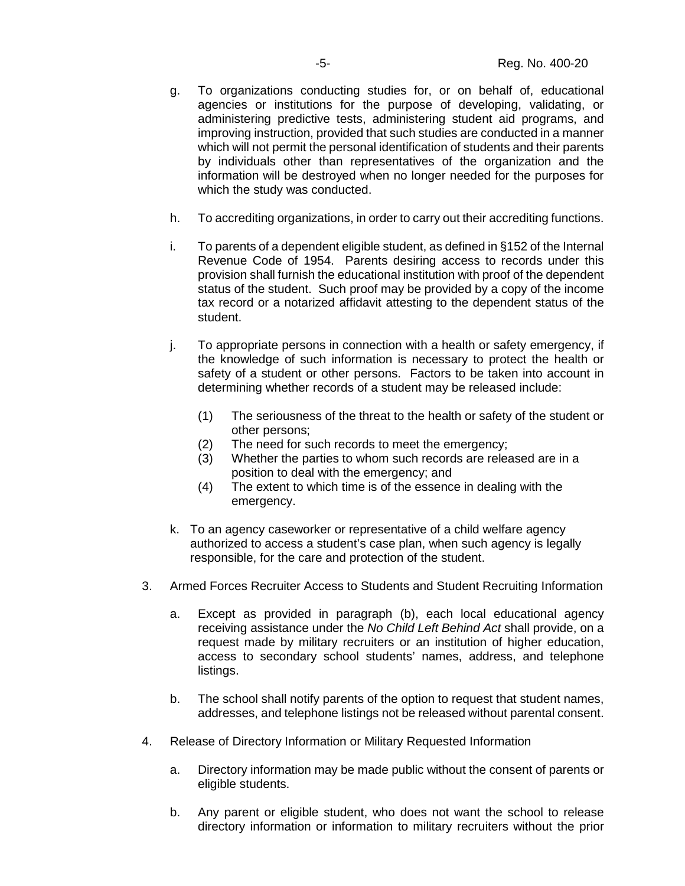- g. To organizations conducting studies for, or on behalf of, educational agencies or institutions for the purpose of developing, validating, or administering predictive tests, administering student aid programs, and improving instruction, provided that such studies are conducted in a manner which will not permit the personal identification of students and their parents by individuals other than representatives of the organization and the information will be destroyed when no longer needed for the purposes for which the study was conducted.
- h. To accrediting organizations, in order to carry out their accrediting functions.
- i. To parents of a dependent eligible student, as defined in §152 of the Internal Revenue Code of 1954. Parents desiring access to records under this provision shall furnish the educational institution with proof of the dependent status of the student. Such proof may be provided by a copy of the income tax record or a notarized affidavit attesting to the dependent status of the student.
- j. To appropriate persons in connection with a health or safety emergency, if the knowledge of such information is necessary to protect the health or safety of a student or other persons. Factors to be taken into account in determining whether records of a student may be released include:
	- (1) The seriousness of the threat to the health or safety of the student or other persons;
	- (2) The need for such records to meet the emergency;
	- (3) Whether the parties to whom such records are released are in a position to deal with the emergency; and
	- (4) The extent to which time is of the essence in dealing with the emergency.
- k. To an agency caseworker or representative of a child welfare agency authorized to access a student's case plan, when such agency is legally responsible, for the care and protection of the student.
- 3. Armed Forces Recruiter Access to Students and Student Recruiting Information
	- a. Except as provided in paragraph (b), each local educational agency receiving assistance under the *No Child Left Behind Act* shall provide, on a request made by military recruiters or an institution of higher education, access to secondary school students' names, address, and telephone listings.
	- b. The school shall notify parents of the option to request that student names, addresses, and telephone listings not be released without parental consent.
- 4. Release of Directory Information or Military Requested Information
	- a. Directory information may be made public without the consent of parents or eligible students.
	- b. Any parent or eligible student, who does not want the school to release directory information or information to military recruiters without the prior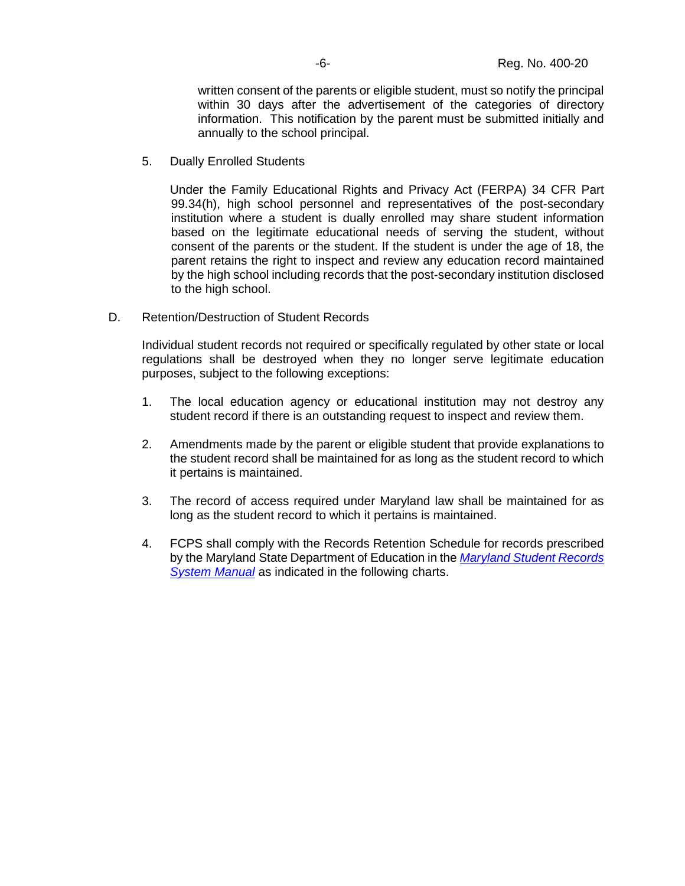written consent of the parents or eligible student, must so notify the principal within 30 days after the advertisement of the categories of directory information. This notification by the parent must be submitted initially and annually to the school principal.

5. Dually Enrolled Students

Under the Family Educational Rights and Privacy Act (FERPA) 34 CFR Part 99.34(h), high school personnel and representatives of the post-secondary institution where a student is dually enrolled may share student information based on the legitimate educational needs of serving the student, without consent of the parents or the student. If the student is under the age of 18, the parent retains the right to inspect and review any education record maintained by the high school including records that the post-secondary institution disclosed to the high school.

D. Retention/Destruction of Student Records

Individual student records not required or specifically regulated by other state or local regulations shall be destroyed when they no longer serve legitimate education purposes, subject to the following exceptions:

- 1. The local education agency or educational institution may not destroy any student record if there is an outstanding request to inspect and review them.
- 2. Amendments made by the parent or eligible student that provide explanations to the student record shall be maintained for as long as the student record to which it pertains is maintained.
- 3. The record of access required under Maryland law shall be maintained for as long as the student record to which it pertains is maintained.
- 4. FCPS shall comply with the Records Retention Schedule for records prescribed by the Maryland State Department of Education in the *[Maryland Student Records](file://fcps.org/fcps/Shared%20Area/Student%20Services/MD%20Student%20Records%20System%20Manual%202020.pdf)  [System Manual](file://fcps.org/fcps/Shared%20Area/Student%20Services/MD%20Student%20Records%20System%20Manual%202020.pdf)* as indicated in the following charts.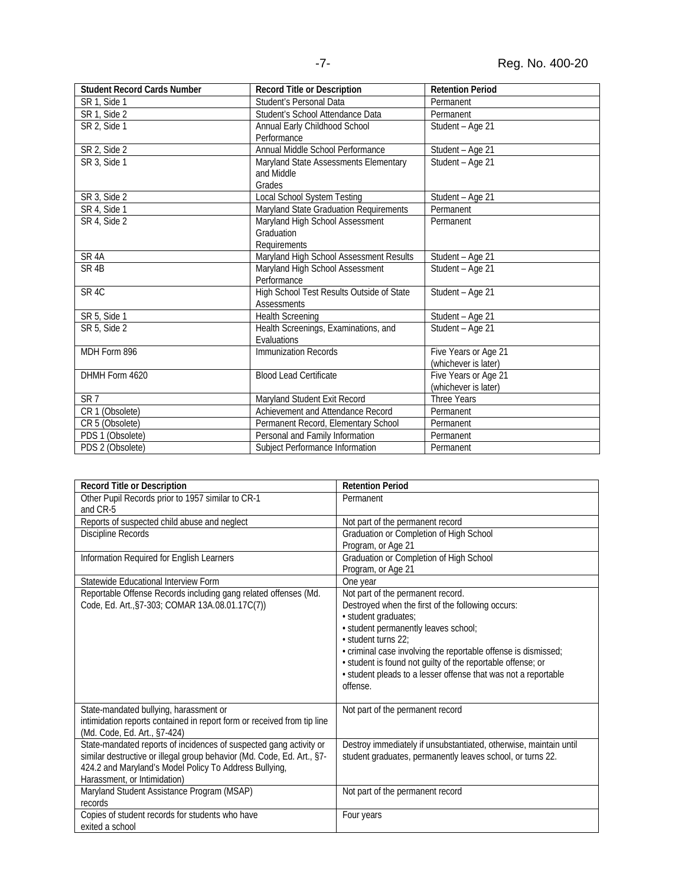| <b>Student Record Cards Number</b> | <b>Record Title or Description</b>        | <b>Retention Period</b> |
|------------------------------------|-------------------------------------------|-------------------------|
| SR 1, Side 1                       | Student's Personal Data                   | Permanent               |
| SR 1, Side 2                       | Student's School Attendance Data          | Permanent               |
| SR 2, Side 1                       | Annual Early Childhood School             | Student - Age 21        |
|                                    | Performance                               |                         |
| SR 2, Side 2                       | Annual Middle School Performance          | Student - Age 21        |
| SR 3, Side 1                       | Maryland State Assessments Elementary     | Student - Age 21        |
|                                    | and Middle                                |                         |
|                                    | Grades                                    |                         |
| SR 3, Side 2                       | Local School System Testing               | Student - Age 21        |
| SR 4, Side 1                       | Maryland State Graduation Requirements    | Permanent               |
| SR 4, Side 2                       | Maryland High School Assessment           | Permanent               |
|                                    | Graduation                                |                         |
|                                    | Requirements                              |                         |
| SR <sub>4</sub> A                  | Maryland High School Assessment Results   | Student - Age 21        |
| SR <sub>4B</sub>                   | Maryland High School Assessment           | Student - Age 21        |
|                                    | Performance                               |                         |
| SR <sub>4C</sub>                   | High School Test Results Outside of State | Student - Age 21        |
|                                    | <b>Assessments</b>                        |                         |
| SR 5, Side 1                       | <b>Health Screening</b>                   | Student - Age 21        |
| SR 5, Side 2                       | Health Screenings, Examinations, and      | Student - Age 21        |
|                                    | Evaluations                               |                         |
| MDH Form 896                       | Immunization Records                      | Five Years or Age 21    |
|                                    |                                           | (whichever is later)    |
| DHMH Form 4620                     | <b>Blood Lead Certificate</b>             | Five Years or Age 21    |
|                                    |                                           | (whichever is later)    |
| SR <sub>7</sub>                    | Maryland Student Exit Record              | <b>Three Years</b>      |
| CR 1 (Obsolete)                    | Achievement and Attendance Record         | Permanent               |
| CR 5 (Obsolete)                    | Permanent Record, Elementary School       | Permanent               |
| PDS 1 (Obsolete)                   | Personal and Family Information           | Permanent               |
| PDS 2 (Obsolete)                   | Subject Performance Information           | Permanent               |

| Record Title or Description                                                                                                                                                                                                            | <b>Retention Period</b>                                                                                                                                                                                                                                                                                                                                                                      |
|----------------------------------------------------------------------------------------------------------------------------------------------------------------------------------------------------------------------------------------|----------------------------------------------------------------------------------------------------------------------------------------------------------------------------------------------------------------------------------------------------------------------------------------------------------------------------------------------------------------------------------------------|
| Other Pupil Records prior to 1957 similar to CR-1                                                                                                                                                                                      | Permanent                                                                                                                                                                                                                                                                                                                                                                                    |
| and CR-5                                                                                                                                                                                                                               |                                                                                                                                                                                                                                                                                                                                                                                              |
| Reports of suspected child abuse and neglect                                                                                                                                                                                           | Not part of the permanent record                                                                                                                                                                                                                                                                                                                                                             |
| Discipline Records                                                                                                                                                                                                                     | Graduation or Completion of High School                                                                                                                                                                                                                                                                                                                                                      |
|                                                                                                                                                                                                                                        | Program, or Age 21                                                                                                                                                                                                                                                                                                                                                                           |
| Information Required for English Learners                                                                                                                                                                                              | Graduation or Completion of High School                                                                                                                                                                                                                                                                                                                                                      |
|                                                                                                                                                                                                                                        | Program, or Age 21                                                                                                                                                                                                                                                                                                                                                                           |
| Statewide Educational Interview Form                                                                                                                                                                                                   | One year                                                                                                                                                                                                                                                                                                                                                                                     |
| Reportable Offense Records including gang related offenses (Md.<br>Code, Ed. Art., §7-303; COMAR 13A.08.01.17C(7))                                                                                                                     | Not part of the permanent record.<br>Destroyed when the first of the following occurs:<br>· student graduates;<br>· student permanently leaves school;<br>· student turns 22:<br>· criminal case involving the reportable offense is dismissed;<br>· student is found not guilty of the reportable offense; or<br>· student pleads to a lesser offense that was not a reportable<br>offense. |
| State-mandated bullying, harassment or<br>intimidation reports contained in report form or received from tip line<br>(Md. Code, Ed. Art., §7-424)                                                                                      | Not part of the permanent record                                                                                                                                                                                                                                                                                                                                                             |
| State-mandated reports of incidences of suspected gang activity or<br>similar destructive or illegal group behavior (Md. Code, Ed. Art., §7-<br>424.2 and Maryland's Model Policy To Address Bullying,<br>Harassment, or Intimidation) | Destroy immediately if unsubstantiated, otherwise, maintain until<br>student graduates, permanently leaves school, or turns 22.                                                                                                                                                                                                                                                              |
| Maryland Student Assistance Program (MSAP)<br>records                                                                                                                                                                                  | Not part of the permanent record                                                                                                                                                                                                                                                                                                                                                             |
| Copies of student records for students who have<br>exited a school                                                                                                                                                                     | Four years                                                                                                                                                                                                                                                                                                                                                                                   |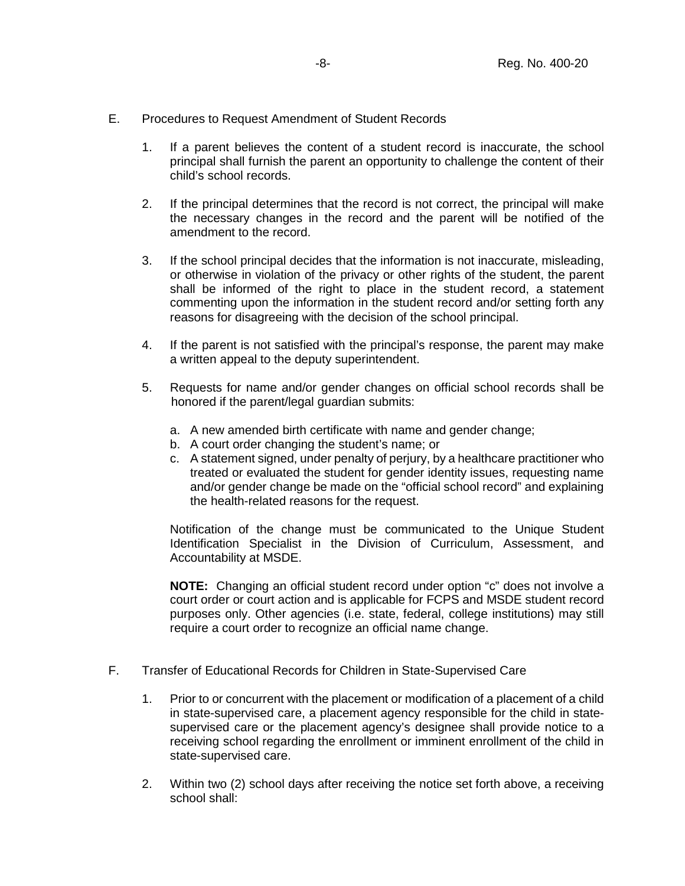- E. Procedures to Request Amendment of Student Records
	- 1. If a parent believes the content of a student record is inaccurate, the school principal shall furnish the parent an opportunity to challenge the content of their child's school records.
	- 2. If the principal determines that the record is not correct, the principal will make the necessary changes in the record and the parent will be notified of the amendment to the record.
	- 3. If the school principal decides that the information is not inaccurate, misleading, or otherwise in violation of the privacy or other rights of the student, the parent shall be informed of the right to place in the student record, a statement commenting upon the information in the student record and/or setting forth any reasons for disagreeing with the decision of the school principal.
	- 4. If the parent is not satisfied with the principal's response, the parent may make a written appeal to the deputy superintendent.
	- 5. Requests for name and/or gender changes on official school records shall be honored if the parent/legal guardian submits:
		- a. A new amended birth certificate with name and gender change;
		- b. A court order changing the student's name; or
		- c. A statement signed, under penalty of perjury, by a healthcare practitioner who treated or evaluated the student for gender identity issues, requesting name and/or gender change be made on the "official school record" and explaining the health-related reasons for the request.

Notification of the change must be communicated to the Unique Student Identification Specialist in the Division of Curriculum, Assessment, and Accountability at MSDE.

**NOTE:** Changing an official student record under option "c" does not involve a court order or court action and is applicable for FCPS and MSDE student record purposes only. Other agencies (i.e. state, federal, college institutions) may still require a court order to recognize an official name change.

- F. Transfer of Educational Records for Children in State-Supervised Care
	- 1. Prior to or concurrent with the placement or modification of a placement of a child in state-supervised care, a placement agency responsible for the child in statesupervised care or the placement agency's designee shall provide notice to a receiving school regarding the enrollment or imminent enrollment of the child in state-supervised care.
	- 2. Within two (2) school days after receiving the notice set forth above, a receiving school shall: